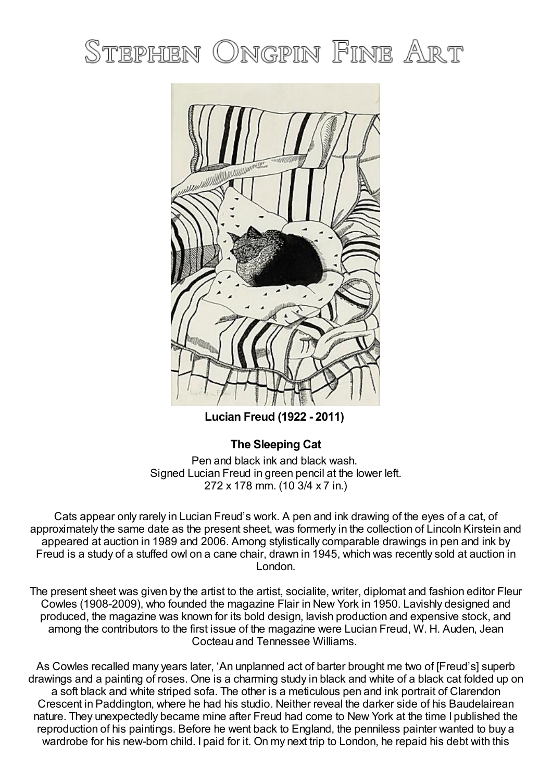# STEPHEN ONGPIN FINE ART



**Lucian Freud (1922 - 2011)**

## **The Sleeping Cat**

Pen and black ink and black wash. Signed Lucian Freud in green pencil at the lower left. 272 x 178 mm. (10 3/4 x 7 in.)

Cats appear only rarely in Lucian Freud's work. A pen and ink drawing of the eyes of a cat, of approximately the same date as the present sheet, was formerly in the collection of Lincoln Kirstein and appeared at auction in 1989 and 2006. Among stylistically comparable drawings in pen and ink by Freud is a study of a stuffed owl on a cane chair, drawn in 1945, which was recently sold at auction in London.

The present sheet was given by the artist to the artist, socialite, writer, diplomat and fashion editor Fleur Cowles (1908-2009), who founded the magazine Flair in New York in 1950. Lavishly designed and produced, the magazine was known for its bold design, lavish production and expensive stock, and among the contributors to the first issue of the magazine were Lucian Freud, W. H. Auden, Jean Cocteau and Tennessee Williams.

As Cowles recalled many years later, 'An unplanned act of barter brought me two of [Freud's] superb drawings and a painting of roses. One is a charming study in black and white of a black cat folded up on a soft black and white striped sofa. The other is a meticulous pen and ink portrait of Clarendon Crescent in Paddington, where he had his studio. Neither reveal the darker side of his Baudelairean nature. They unexpectedly became mine after Freud had come to New York at the time I published the reproduction of his paintings. Before he went back to England, the penniless painter wanted to buy a wardrobe for his new-born child. I paid for it. On my next trip to London, he repaid his debt with this